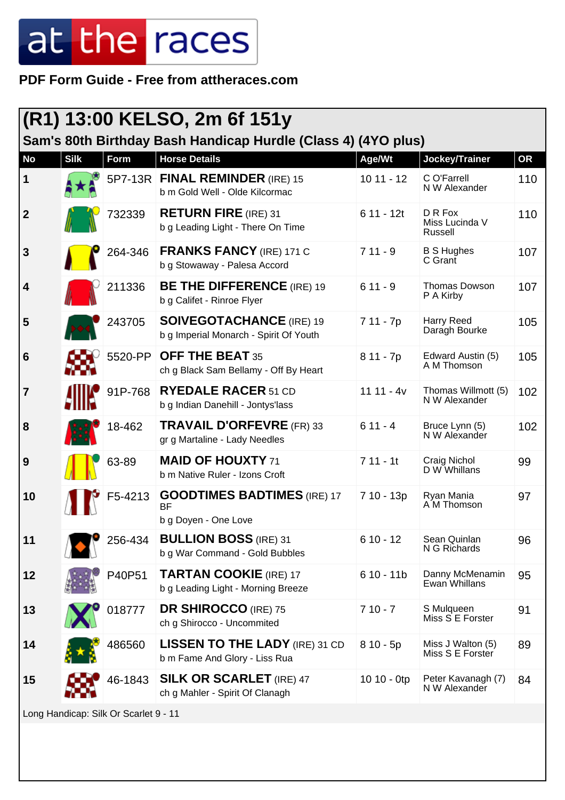#### **PDF Form Guide - Free from attheraces.com**

| (R1) 13:00 KELSO, 2m 6f 151y<br>Sam's 80th Birthday Bash Handicap Hurdle (Class 4) (4YO plus) |             |         |                                                                           |               |                                       |           |
|-----------------------------------------------------------------------------------------------|-------------|---------|---------------------------------------------------------------------------|---------------|---------------------------------------|-----------|
| <b>No</b>                                                                                     | <b>Silk</b> | Form    | <b>Horse Details</b>                                                      | Age/Wt        | Jockey/Trainer                        | <b>OR</b> |
| 1                                                                                             |             |         | 5P7-13R FINAL REMINDER (IRE) 15<br>b m Gold Well - Olde Kilcormac         | $1011 - 12$   | C O'Farrell<br>N W Alexander          | 110       |
| $\boldsymbol{2}$                                                                              |             | 732339  | <b>RETURN FIRE</b> (IRE) 31<br>b g Leading Light - There On Time          | $611 - 12t$   | D R Fox<br>Miss Lucinda V<br>Russell  | 110       |
| 3                                                                                             |             | 264-346 | <b>FRANKS FANCY (IRE) 171 C</b><br>b g Stowaway - Palesa Accord           | $711 - 9$     | <b>B S Hughes</b><br>C Grant          | 107       |
| 4                                                                                             |             | 211336  | <b>BE THE DIFFERENCE</b> (IRE) 19<br>b g Califet - Rinroe Flyer           | $611 - 9$     | <b>Thomas Dowson</b><br>P A Kirby     | 107       |
| 5                                                                                             |             | 243705  | <b>SOIVEGOTACHANCE (IRE) 19</b><br>b g Imperial Monarch - Spirit Of Youth | 7 11 - 7p     | Harry Reed<br>Daragh Bourke           | 105       |
| 6                                                                                             |             | 5520-PP | <b>OFF THE BEAT 35</b><br>ch g Black Sam Bellamy - Off By Heart           | $811 - 7p$    | Edward Austin (5)<br>A M Thomson      | 105       |
| 7                                                                                             |             | 91P-768 | <b>RYEDALE RACER 51 CD</b><br>b g Indian Danehill - Jontys'lass           | $1111 - 4v$   | Thomas Willmott (5)<br>N W Alexander  | 102       |
| 8                                                                                             |             | 18-462  | <b>TRAVAIL D'ORFEVRE (FR) 33</b><br>gr g Martaline - Lady Needles         | $611 - 4$     | Bruce Lynn (5)<br>N W Alexander       | 102       |
| 9                                                                                             |             | 63-89   | <b>MAID OF HOUXTY 71</b><br>b m Native Ruler - Izons Croft                | $711 - 11$    | Craig Nichol<br>D W Whillans          | 99        |
| 10                                                                                            |             | F5-4213 | <b>GOODTIMES BADTIMES (IRE) 17</b><br><b>BF</b><br>b g Doyen - One Love   | 7 10 - 13p    | Ryan Mania<br>A M Thomson             | 97        |
| 11                                                                                            |             | 256-434 | <b>BULLION BOSS (IRE) 31</b><br>b g War Command - Gold Bubbles            | $610 - 12$    | Sean Quinlan<br>N G Richards          | 96        |
| 12                                                                                            |             | P40P51  | <b>TARTAN COOKIE (IRE) 17</b><br>b g Leading Light - Morning Breeze       | $610 - 11b$   | Danny McMenamin<br>Ewan Whillans      | 95        |
| 13                                                                                            |             | 018777  | <b>DR SHIROCCO</b> (IRE) 75<br>ch g Shirocco - Uncommited                 | $710 - 7$     | S Mulqueen<br>Miss S E Forster        | 91        |
| 14                                                                                            |             | 486560  | <b>LISSEN TO THE LADY (IRE) 31 CD</b><br>b m Fame And Glory - Liss Rua    | $810 - 5p$    | Miss J Walton (5)<br>Miss S E Forster | 89        |
| 15                                                                                            |             | 46-1843 | <b>SILK OR SCARLET</b> (IRE) 47<br>ch g Mahler - Spirit Of Clanagh        | $1010 - 0$ tp | Peter Kavanagh (7)<br>N W Alexander   | 84        |
| Long Handicap: Silk Or Scarlet 9 - 11                                                         |             |         |                                                                           |               |                                       |           |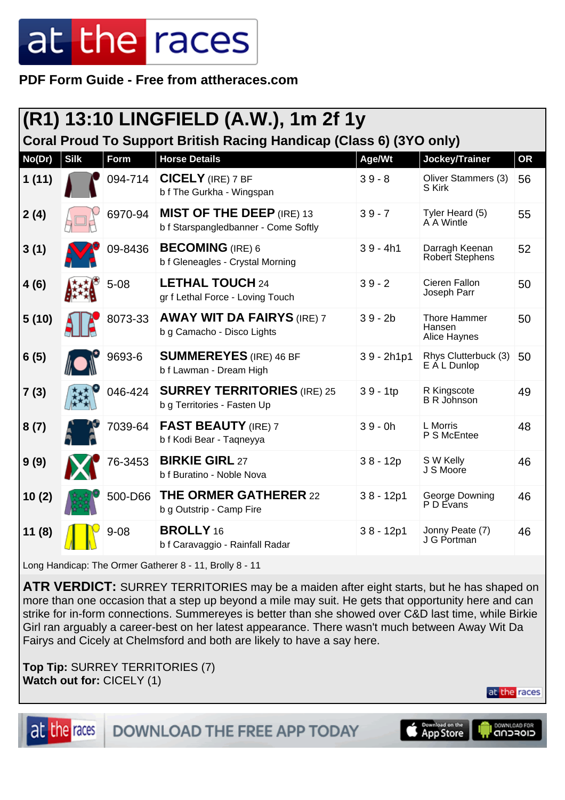**PDF Form Guide - Free from attheraces.com**

| (R1) 13:10 LINGFIELD (A.W.), 1m 2f 1y                               |             |             |                                                                          |              |                                               |    |  |
|---------------------------------------------------------------------|-------------|-------------|--------------------------------------------------------------------------|--------------|-----------------------------------------------|----|--|
| Coral Proud To Support British Racing Handicap (Class 6) (3YO only) |             |             |                                                                          |              |                                               |    |  |
| No(Dr)                                                              | <b>Silk</b> | <b>Form</b> | <b>Horse Details</b>                                                     | Age/Wt       | Jockey/Trainer                                | OR |  |
| 1(11)                                                               |             | 094-714     | <b>CICELY</b> (IRE) 7 BF<br>b f The Gurkha - Wingspan                    | $39 - 8$     | Oliver Stammers (3)<br>S Kirk                 | 56 |  |
| 2(4)                                                                |             | 6970-94     | <b>MIST OF THE DEEP (IRE) 13</b><br>b f Starspangledbanner - Come Softly | $39 - 7$     | Tyler Heard (5)<br>A A Wintle                 | 55 |  |
| 3(1)                                                                |             | 09-8436     | <b>BECOMING</b> (IRE) 6<br>b f Gleneagles - Crystal Morning              | $39 - 4h1$   | Darragh Keenan<br>Robert Stephens             | 52 |  |
| 4(6)                                                                |             | $5 - 08$    | <b>LETHAL TOUCH 24</b><br>gr f Lethal Force - Loving Touch               | $39 - 2$     | Cieren Fallon<br>Joseph Parr                  | 50 |  |
| 5(10)                                                               |             | 8073-33     | <b>AWAY WIT DA FAIRYS (IRE) 7</b><br>b g Camacho - Disco Lights          | $39 - 2b$    | <b>Thore Hammer</b><br>Hansen<br>Alice Haynes | 50 |  |
| 6(5)                                                                |             | 9693-6      | <b>SUMMEREYES</b> (IRE) 46 BF<br>b f Lawman - Dream High                 | $39 - 2h1p1$ | Rhys Clutterbuck (3)<br>E A L Dunlop          | 50 |  |
| 7(3)                                                                |             | 046-424     | <b>SURREY TERRITORIES (IRE) 25</b><br>b g Territories - Fasten Up        | $39 - 1tp$   | R Kingscote<br><b>B</b> R Johnson             | 49 |  |
| 8(7)                                                                |             | 7039-64     | <b>FAST BEAUTY (IRE) 7</b><br>b f Kodi Bear - Tagneyya                   | $39 - 0h$    | L Morris<br>P S McEntee                       | 48 |  |
| 9(9)                                                                |             | 76-3453     | <b>BIRKIE GIRL 27</b><br>b f Buratino - Noble Nova                       | $38 - 12p$   | S W Kelly<br>J S Moore                        | 46 |  |
| 10(2)                                                               |             | 500-D66     | <b>THE ORMER GATHERER 22</b><br>b g Outstrip - Camp Fire                 | $38 - 12p1$  | George Downing<br>P D Evans                   | 46 |  |
| 11(8)                                                               |             | $9 - 08$    | <b>BROLLY</b> 16<br>b f Caravaggio - Rainfall Radar                      | $38 - 12p1$  | Jonny Peate (7)<br>J G Portman                | 46 |  |

Long Handicap: The Ormer Gatherer 8 - 11, Brolly 8 - 11

**ATR VERDICT:** SURREY TERRITORIES may be a maiden after eight starts, but he has shaped on more than one occasion that a step up beyond a mile may suit. He gets that opportunity here and can strike for in-form connections. Summereyes is better than she showed over C&D last time, while Birkie Girl ran arguably a career-best on her latest appearance. There wasn't much between Away Wit Da Fairys and Cicely at Chelmsford and both are likely to have a say here.

**Top Tip:** SURREY TERRITORIES (7) **Watch out for:** CICELY (1)

at the races

at the races



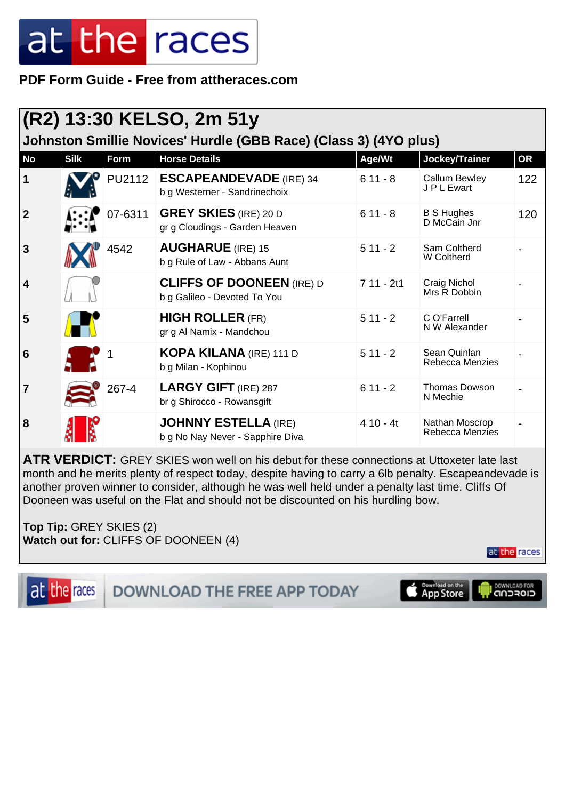**PDF Form Guide - Free from attheraces.com**

| (R2) 13:30 KELSO, 2m 51y                                         |             |         |                                                                  |             |                                     |           |  |  |
|------------------------------------------------------------------|-------------|---------|------------------------------------------------------------------|-------------|-------------------------------------|-----------|--|--|
| Johnston Smillie Novices' Hurdle (GBB Race) (Class 3) (4YO plus) |             |         |                                                                  |             |                                     |           |  |  |
| <b>No</b>                                                        | <b>Silk</b> | Form    | <b>Horse Details</b>                                             | Age/Wt      | Jockey/Trainer                      | <b>OR</b> |  |  |
| 1                                                                |             | PU2112  | <b>ESCAPEANDEVADE</b> (IRE) 34<br>b g Westerner - Sandrinechoix  | $611 - 8$   | <b>Callum Bewley</b><br>J P L Ewart | 122       |  |  |
| $\boldsymbol{2}$                                                 |             | 07-6311 | <b>GREY SKIES</b> (IRE) 20 D<br>gr g Cloudings - Garden Heaven   | $611 - 8$   | <b>B S Hughes</b><br>D McCain Jnr   | 120       |  |  |
| 3                                                                |             | 4542    | <b>AUGHARUE</b> (IRE) 15<br>b g Rule of Law - Abbans Aunt        | $511 - 2$   | Sam Coltherd<br>W Coltherd          |           |  |  |
| $\overline{\mathbf{4}}$                                          |             |         | <b>CLIFFS OF DOONEEN (IRE) D</b><br>b g Galileo - Devoted To You | $711 - 2t1$ | Craig Nichol<br>Mrs R Dobbin        |           |  |  |
| 5                                                                |             |         | <b>HIGH ROLLER (FR)</b><br>gr g Al Namix - Mandchou              | $511 - 2$   | C O'Farrell<br>N W Alexander        |           |  |  |
| 6                                                                |             |         | <b>KOPA KILANA</b> (IRE) 111 D<br>b g Milan - Kophinou           | $511 - 2$   | Sean Quinlan<br>Rebecca Menzies     |           |  |  |
| $\overline{7}$                                                   |             | 267-4   | <b>LARGY GIFT (IRE) 287</b><br>br g Shirocco - Rowansgift        | $611 - 2$   | <b>Thomas Dowson</b><br>N Mechie    |           |  |  |
| 8                                                                |             |         | <b>JOHNNY ESTELLA (IRE)</b><br>b g No Nay Never - Sapphire Diva  | $410 - 4t$  | Nathan Moscrop<br>Rebecca Menzies   |           |  |  |

**ATR VERDICT:** GREY SKIES won well on his debut for these connections at Uttoxeter late last month and he merits plenty of respect today, despite having to carry a 6lb penalty. Escapeandevade is another proven winner to consider, although he was well held under a penalty last time. Cliffs Of Dooneen was useful on the Flat and should not be discounted on his hurdling bow.

**Top Tip:** GREY SKIES (2) **Watch out for:** CLIFFS OF DOONEEN (4)

at the races



DOWNLOAD THE FREE APP TODAY



DOWNLOAD FOR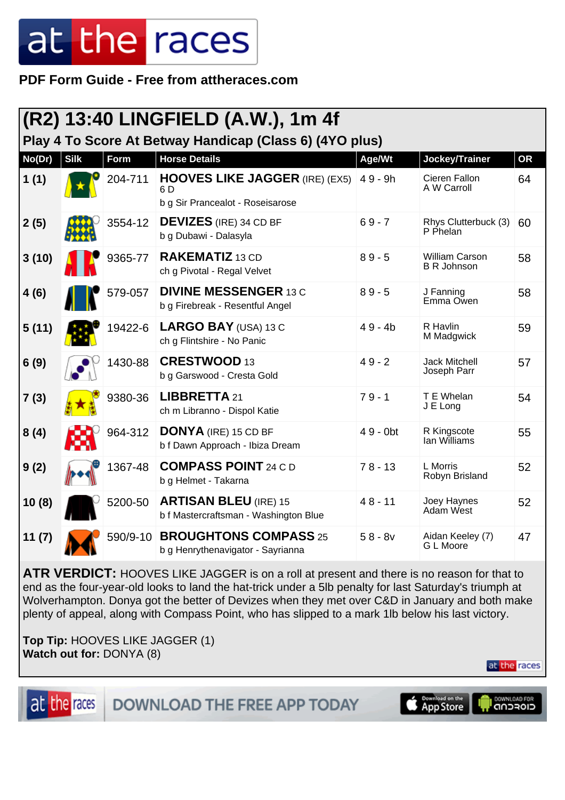**PDF Form Guide - Free from attheraces.com**

|                                                         |             |          | (R2) 13:40 LINGFIELD (A.W.), 1m 4f                                               |             |                                             |           |  |
|---------------------------------------------------------|-------------|----------|----------------------------------------------------------------------------------|-------------|---------------------------------------------|-----------|--|
| Play 4 To Score At Betway Handicap (Class 6) (4YO plus) |             |          |                                                                                  |             |                                             |           |  |
| No(Dr)                                                  | <b>Silk</b> | Form     | <b>Horse Details</b>                                                             | Age/Wt      | Jockey/Trainer                              | <b>OR</b> |  |
| 1(1)                                                    |             | 204-711  | <b>HOOVES LIKE JAGGER (IRE) (EX5)</b><br>6 D<br>b g Sir Prancealot - Roseisarose | $49 - 9h$   | Cieren Fallon<br>A W Carroll                | 64        |  |
| 2(5)                                                    |             | 3554-12  | <b>DEVIZES</b> (IRE) 34 CD BF<br>b g Dubawi - Dalasyla                           | $69 - 7$    | Rhys Clutterbuck (3)<br>P Phelan            | 60        |  |
| 3(10)                                                   |             | 9365-77  | <b>RAKEMATIZ</b> 13 CD<br>ch g Pivotal - Regal Velvet                            | $89 - 5$    | <b>William Carson</b><br><b>B R Johnson</b> | 58        |  |
| 4(6)                                                    |             | 579-057  | <b>DIVINE MESSENGER 13 C</b><br>b g Firebreak - Resentful Angel                  | $89 - 5$    | J Fanning<br>Emma Owen                      | 58        |  |
| 5(11)                                                   |             | 19422-6  | LARGO BAY (USA) 13 C<br>ch g Flintshire - No Panic                               | $49 - 4b$   | R Havlin<br>M Madgwick                      | 59        |  |
| 6(9)                                                    |             | 1430-88  | <b>CRESTWOOD 13</b><br>b g Garswood - Cresta Gold                                | $49 - 2$    | <b>Jack Mitchell</b><br>Joseph Parr         | 57        |  |
| 7(3)                                                    |             | 9380-36  | LIBBRETTA 21<br>ch m Libranno - Dispol Katie                                     | $79 - 1$    | T E Whelan<br>J E Long                      | 54        |  |
| 8(4)                                                    |             | 964-312  | <b>DONYA</b> (IRE) 15 CD BF<br>b f Dawn Approach - Ibiza Dream                   | $49 - 0$ bt | R Kingscote<br>lan Williams                 | 55        |  |
| 9(2)                                                    |             | 1367-48  | <b>COMPASS POINT 24 C D</b><br>b g Helmet - Takarna                              | $78 - 13$   | L Morris<br>Robyn Brisland                  | 52        |  |
| 10(8)                                                   |             | 5200-50  | <b>ARTISAN BLEU (IRE) 15</b><br>b f Mastercraftsman - Washington Blue            | $48 - 11$   | Joey Haynes<br>Adam West                    | 52        |  |
| 11(7)                                                   |             | 590/9-10 | <b>BROUGHTONS COMPASS 25</b><br>b g Henrythenavigator - Sayrianna                | $58 - 8v$   | Aidan Keeley (7)<br>G L Moore               | 47        |  |

**ATR VERDICT:** HOOVES LIKE JAGGER is on a roll at present and there is no reason for that to end as the four-year-old looks to land the hat-trick under a 5lb penalty for last Saturday's triumph at Wolverhampton. Donya got the better of Devizes when they met over C&D in January and both make plenty of appeal, along with Compass Point, who has slipped to a mark 1lb below his last victory.

**Top Tip:** HOOVES LIKE JAGGER (1) **Watch out for:** DONYA (8)

at the races

at the races

DOWNLOAD THE FREE APP TODAY